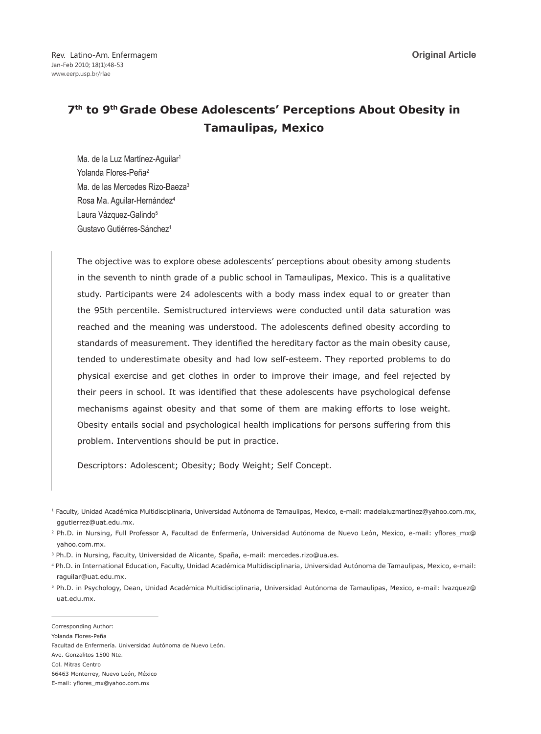Rev. Latino-Am. Enfermagem Jan-Feb 2010; 18(1):48-53 www.eerp.usp.br/rlae

# **7th to 9th Grade Obese Adolescents' Perceptions About Obesity in Tamaulipas, Mexico**

Ma. de la Luz Martínez-Aquilar<sup>1</sup> Yolanda Flores-Peña<sup>2</sup> Ma. de las Mercedes Rizo-Baeza<sup>3</sup> Rosa Ma. Aguilar-Hernández4 Laura Vázquez-Galindo<sup>5</sup> Gustavo Gutiérres-Sánchez<sup>1</sup>

The objective was to explore obese adolescents' perceptions about obesity among students in the seventh to ninth grade of a public school in Tamaulipas, Mexico. This is a qualitative study. Participants were 24 adolescents with a body mass index equal to or greater than the 95th percentile. Semistructured interviews were conducted until data saturation was reached and the meaning was understood. The adolescents defined obesity according to standards of measurement. They identified the hereditary factor as the main obesity cause, tended to underestimate obesity and had low self-esteem. They reported problems to do physical exercise and get clothes in order to improve their image, and feel rejected by their peers in school. It was identified that these adolescents have psychological defense mechanisms against obesity and that some of them are making efforts to lose weight. Obesity entails social and psychological health implications for persons suffering from this problem. Interventions should be put in practice.

Descriptors: Adolescent; Obesity; Body Weight; Self Concept.

Facultad de Enfermería. Universidad Autónoma de Nuevo León. Ave. Gonzalitos 1500 Nte. Col. Mitras Centro 66463 Monterrey, Nuevo León, México E-mail: yflores\_mx@yahoo.com.mx

<sup>1</sup> Faculty, Unidad Académica Multidisciplinaria, Universidad Autónoma de Tamaulipas, Mexico, e-mail: madelaluzmartinez@yahoo.com.mx, ggutierrez@uat.edu.mx.

<sup>2</sup> Ph.D. in Nursing, Full Professor A, Facultad de Enfermería, Universidad Autónoma de Nuevo León, Mexico, e-mail: yflores\_mx@ yahoo.com.mx.

<sup>&</sup>lt;sup>3</sup> Ph.D. in Nursing, Faculty, Universidad de Alicante, Spaña, e-mail: mercedes.rizo@ua.es.

<sup>4</sup> Ph.D. in International Education, Faculty, Unidad Académica Multidisciplinaria, Universidad Autónoma de Tamaulipas, Mexico, e-mail: raguilar@uat.edu.mx.

<sup>5</sup> Ph.D. in Psychology, Dean, Unidad Académica Multidisciplinaria, Universidad Autónoma de Tamaulipas, Mexico, e-mail: lvazquez@ uat.edu.mx.

Corresponding Author:

Yolanda Flores-Peña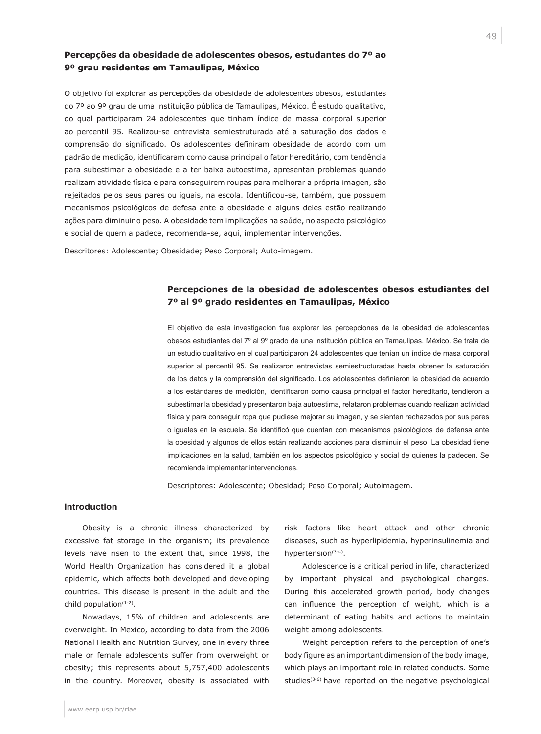# **Percepções da obesidade de adolescentes obesos, estudantes do 7º ao 9º grau residentes em Tamaulipas, México**

O objetivo foi explorar as percepções da obesidade de adolescentes obesos, estudantes do 7º ao 9º grau de uma instituição pública de Tamaulipas, México. É estudo qualitativo, do qual participaram 24 adolescentes que tinham índice de massa corporal superior ao percentil 95. Realizou-se entrevista semiestruturada até a saturação dos dados e comprensão do significado. Os adolescentes definiram obesidade de acordo com um padrão de medição, identificaram como causa principal o fator hereditário, com tendência para subestimar a obesidade e a ter baixa autoestima, apresentan problemas quando realizam atividade física e para conseguirem roupas para melhorar a própria imagen, são rejeitados pelos seus pares ou iguais, na escola. Identificou-se, também, que possuem mecanismos psicológicos de defesa ante a obesidade e alguns deles estão realizando ações para diminuir o peso. A obesidade tem implicações na saúde, no aspecto psicológico e social de quem a padece, recomenda-se, aqui, implementar intervenções.

Descritores: Adolescente; Obesidade; Peso Corporal; Auto-imagem.

# **Percepciones de la obesidad de adolescentes obesos estudiantes del 7º al 9º grado residentes en Tamaulipas, México**

El objetivo de esta investigación fue explorar las percepciones de la obesidad de adolescentes obesos estudiantes del 7º al 9º grado de una institución pública en Tamaulipas, México. Se trata de un estudio cualitativo en el cual participaron 24 adolescentes que tenían un índice de masa corporal superior al percentil 95. Se realizaron entrevistas semiestructuradas hasta obtener la saturación de los datos y la comprensión del significado. Los adolescentes definieron la obesidad de acuerdo a los estándares de medición, identificaron como causa principal el factor hereditario, tendieron a subestimar la obesidad y presentaron baja autoestima, relataron problemas cuando realizan actividad física y para conseguir ropa que pudiese mejorar su imagen, y se sienten rechazados por sus pares o iguales en la escuela. Se identificó que cuentan con mecanismos psicológicos de defensa ante la obesidad y algunos de ellos están realizando acciones para disminuir el peso. La obesidad tiene implicaciones en la salud, también en los aspectos psicológico y social de quienes la padecen. Se recomienda implementar intervenciones.

Descriptores: Adolescente; Obesidad; Peso Corporal; Autoimagem.

## **Introduction**

www.eerp.usp.br/rlae

Obesity is a chronic illness characterized by excessive fat storage in the organism; its prevalence levels have risen to the extent that, since 1998, the World Health Organization has considered it a global epidemic, which affects both developed and developing countries. This disease is present in the adult and the child population(1-2).

Nowadays, 15% of children and adolescents are overweight. In Mexico, according to data from the 2006 National Health and Nutrition Survey, one in every three male or female adolescents suffer from overweight or obesity; this represents about 5,757,400 adolescents in the country. Moreover, obesity is associated with risk factors like heart attack and other chronic diseases, such as hyperlipidemia, hyperinsulinemia and hypertension<sup>(3-4)</sup>.

Adolescence is a critical period in life, characterized by important physical and psychological changes. During this accelerated growth period, body changes can influence the perception of weight, which is a determinant of eating habits and actions to maintain weight among adolescents.

Weight perception refers to the perception of one's body figure as an important dimension of the body image, which plays an important role in related conducts. Some studies<sup>(3-6)</sup> have reported on the negative psychological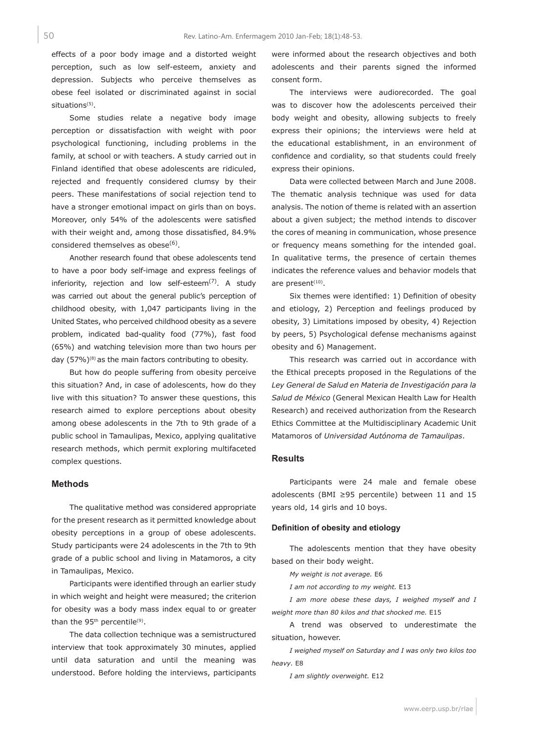effects of a poor body image and a distorted weight perception, such as low self-esteem, anxiety and depression. Subjects who perceive themselves as obese feel isolated or discriminated against in social situations<sup>(5)</sup>.

Some studies relate a negative body image perception or dissatisfaction with weight with poor psychological functioning, including problems in the family, at school or with teachers. A study carried out in Finland identified that obese adolescents are ridiculed, rejected and frequently considered clumsy by their peers. These manifestations of social rejection tend to have a stronger emotional impact on girls than on boys. Moreover, only 54% of the adolescents were satisfied with their weight and, among those dissatisfied, 84.9% considered themselves as obese $(6)$ .

Another research found that obese adolescents tend to have a poor body self-image and express feelings of inferiority, rejection and low self-esteem $(7)$ . A study was carried out about the general public's perception of childhood obesity, with 1,047 participants living in the United States, who perceived childhood obesity as a severe problem, indicated bad-quality food (77%), fast food (65%) and watching television more than two hours per day  $(57%)^{(8)}$  as the main factors contributing to obesity.

But how do people suffering from obesity perceive this situation? And, in case of adolescents, how do they live with this situation? To answer these questions, this research aimed to explore perceptions about obesity among obese adolescents in the 7th to 9th grade of a public school in Tamaulipas, Mexico, applying qualitative research methods, which permit exploring multifaceted complex questions.

#### **Methods**

The qualitative method was considered appropriate for the present research as it permitted knowledge about obesity perceptions in a group of obese adolescents. Study participants were 24 adolescents in the 7th to 9th grade of a public school and living in Matamoros, a city in Tamaulipas, Mexico.

Participants were identified through an earlier study in which weight and height were measured; the criterion for obesity was a body mass index equal to or greater than the 95<sup>th</sup> percentile<sup>(9)</sup>.

The data collection technique was a semistructured interview that took approximately 30 minutes, applied until data saturation and until the meaning was understood. Before holding the interviews, participants

were informed about the research objectives and both adolescents and their parents signed the informed consent form.

The interviews were audiorecorded. The goal was to discover how the adolescents perceived their body weight and obesity, allowing subjects to freely express their opinions; the interviews were held at the educational establishment, in an environment of confidence and cordiality, so that students could freely express their opinions.

Data were collected between March and June 2008. The thematic analysis technique was used for data analysis. The notion of theme is related with an assertion about a given subject; the method intends to discover the cores of meaning in communication, whose presence or frequency means something for the intended goal. In qualitative terms, the presence of certain themes indicates the reference values and behavior models that are present $(10)$ .

Six themes were identified: 1) Definition of obesity and etiology, 2) Perception and feelings produced by obesity, 3) Limitations imposed by obesity, 4) Rejection by peers, 5) Psychological defense mechanisms against obesity and 6) Management.

This research was carried out in accordance with the Ethical precepts proposed in the Regulations of the *Ley General de Salud en Materia de Investigación para la Salud de México* (General Mexican Health Law for Health Research) and received authorization from the Research Ethics Committee at the Multidisciplinary Academic Unit Matamoros of *Universidad Autónoma de Tamaulipas*.

## **Results**

Participants were 24 male and female obese adolescents (BMI ≥95 percentile) between 11 and 15 years old, 14 girls and 10 boys.

#### **Definition of obesity and etiology**

The adolescents mention that they have obesity based on their body weight.

*My weight is not average.* E6

*I am not according to my weight.* E13

*I am more obese these days, I weighed myself and I weight more than 80 kilos and that shocked me.* E15

A trend was observed to underestimate the situation, however.

*I weighed myself on Saturday and I was only two kilos too heavy.* E8

*I am slightly overweight.* E12

50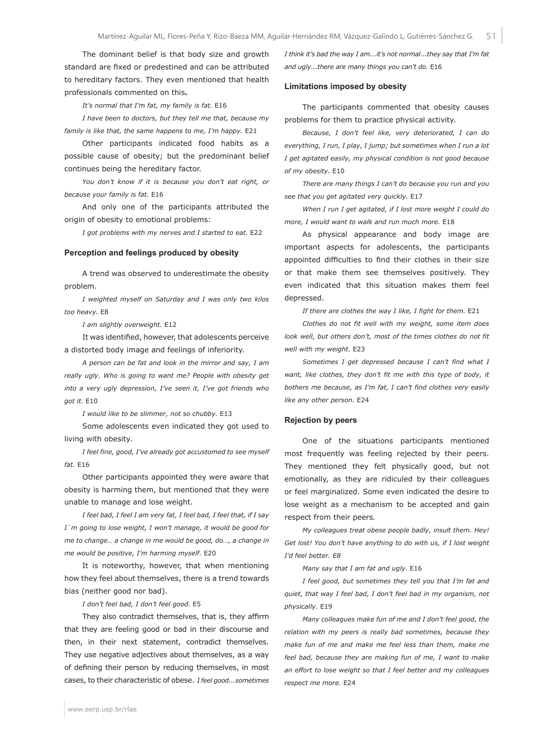The dominant belief is that body size and growth standard are fixed or predestined and can be attributed to hereditary factors. They even mentioned that health professionals commented on this*.*

*It's normal that I'm fat, my family is fat.* E16

*I have been to doctors, but they tell me that, because my family is like that, the same happens to me, I'm happy.* E21

Other participants indicated food habits as a possible cause of obesity; but the predominant belief continues being the hereditary factor.

*You don't know if it is because you don't eat right, or because your family is fat.* E16

And only one of the participants attributed the origin of obesity to emotional problems:

*I got problems with my nerves and I started to eat.* E22

#### **Perception and feelings produced by obesity**

A trend was observed to underestimate the obesity problem.

*I weighted myself on Saturday and I was only two kilos too heavy.* E8

*I am slightly overweight.* E12

It was identified, however, that adolescents perceive a distorted body image and feelings of inferiority.

*A person can be fat and look in the mirror and say, I am really ugly. Who is going to want me? People with obesity get into a very ugly depression, I've seen it, I've got friends who got it.* E10

*I would like to be slimmer, not so chubby.* E13

Some adolescents even indicated they got used to living with obesity*.*

*I feel fine, good, I've already got accustomed to see myself fat.* E16

Other participants appointed they were aware that obesity is harming them, but mentioned that they were unable to manage and lose weight.

*I feel bad, I feel I am very fat, I feel bad, I feel that, if I say I`m going to lose weight, I won't manage, it would be good for me to change… a change in me would be good, do…, a change in me would be positive, I'm harming myself.* E20

It is noteworthy, however, that when mentioning how they feel about themselves, there is a trend towards bias (neither good nor bad).

*I don't feel bad, I don't feel good.* E5

They also contradict themselves, that is, they affirm that they are feeling good or bad in their discourse and then, in their next statement, contradict themselves. They use negative adjectives about themselves, as a way of defining their person by reducing themselves, in most cases, to their characteristic of obese. *I feel good...sometimes*  *I think it's bad the way I am...it's not normal...they say that I'm fat and ugly...there are many things you can't do.* E16

#### **Limitations imposed by obesity**

The participants commented that obesity causes problems for them to practice physical activity.

*Because, I don't feel like, very deteriorated, I can do everything, I run, I play, I jump; but sometimes when I run a lot I get agitated easily, my physical condition is not good because of my obesity.* E10

*There are many things I can't do because you run and you see that you get agitated very quickly.* E17

*When I run I get agitated, if I lost more weight I could do more, I would want to walk and run much more.* E18

As physical appearance and body image are important aspects for adolescents, the participants appointed difficulties to find their clothes in their size or that make them see themselves positively. They even indicated that this situation makes them feel depressed.

*If there are clothes the way I like, I fight for them.* E21

*Clothes do not fit well with my weight, some item does look well, but others don't, most of the times clothes do not fit well with my weight.* E23

*Sometimes I get depressed because I can't find what I want, like clothes, they don't fit me with this type of body, it bothers me because, as I'm fat, I can't find clothes very easily like any other person.* E24

#### **Rejection by peers**

One of the situations participants mentioned most frequently was feeling rejected by their peers. They mentioned they felt physically good, but not emotionally, as they are ridiculed by their colleagues or feel marginalized. Some even indicated the desire to lose weight as a mechanism to be accepted and gain respect from their peers*.*

*My colleagues treat obese people badly, insult them. Hey! Get lost! You don't have anything to do with us, if I lost weight I'd feel better. E8*

*Many say that I am fat and ugly.* E16

*I feel good, but sometimes they tell you that I'm fat and quiet, that way I feel bad, I don't feel bad in my organism, not physically.* E19

*Many colleagues make fun of me and I don't feel good, the relation with my peers is really bad sometimes, because they make fun of me and make me feel less than them, make me feel bad, because they are making fun of me, I want to make an effort to lose weight so that I feel better and my colleagues respect me more.* E24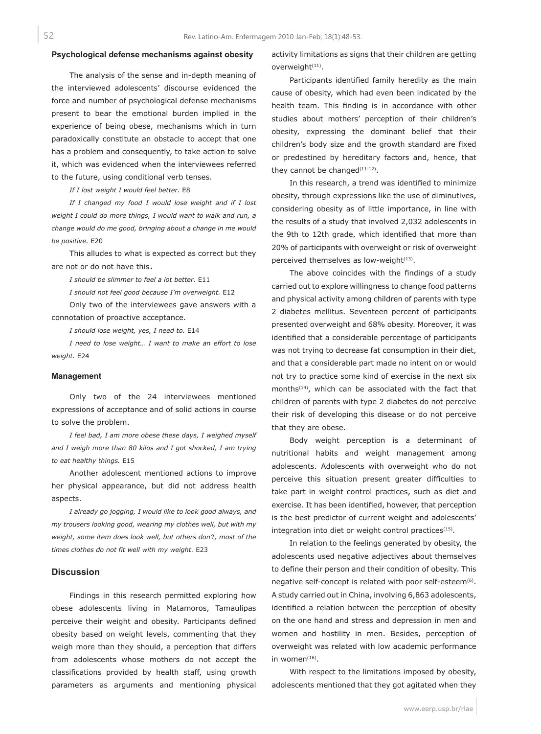## **Psychological defense mechanisms against obesity**

The analysis of the sense and in-depth meaning of the interviewed adolescents' discourse evidenced the force and number of psychological defense mechanisms present to bear the emotional burden implied in the experience of being obese, mechanisms which in turn paradoxically constitute an obstacle to accept that one has a problem and consequently, to take action to solve it, which was evidenced when the interviewees referred to the future, using conditional verb tenses.

*If I lost weight I would feel better.* E8

*If I changed my food I would lose weight and if I lost weight I could do more things, I would want to walk and run, a change would do me good, bringing about a change in me would be positive.* E20

This alludes to what is expected as correct but they are not or do not have this.

*I should be slimmer to feel a lot better.* E11

*I should not feel good because I'm overweight.* E12

Only two of the interviewees gave answers with a connotation of proactive acceptance.

*I should lose weight, yes, I need to.* E14

*I need to lose weight… I want to make an effort to lose weight.* E24

#### **Management**

Only two of the 24 interviewees mentioned expressions of acceptance and of solid actions in course to solve the problem.

*I feel bad, I am more obese these days, I weighed myself and I weigh more than 80 kilos and I got shocked, I am trying to eat healthy things.* E15

Another adolescent mentioned actions to improve her physical appearance, but did not address health aspects.

*I already go jogging, I would like to look good always, and my trousers looking good, wearing my clothes well, but with my weight, some item does look well, but others don't, most of the times clothes do not fit well with my weight.* E23

### **Discussion**

Findings in this research permitted exploring how obese adolescents living in Matamoros, Tamaulipas perceive their weight and obesity. Participants defined obesity based on weight levels, commenting that they weigh more than they should, a perception that differs from adolescents whose mothers do not accept the classifications provided by health staff, using growth parameters as arguments and mentioning physical activity limitations as signs that their children are getting overweight<sup>(11)</sup>.

Participants identified family heredity as the main cause of obesity, which had even been indicated by the health team. This finding is in accordance with other studies about mothers' perception of their children's obesity, expressing the dominant belief that their children's body size and the growth standard are fixed or predestined by hereditary factors and, hence, that they cannot be changed $(11-12)$ .

In this research, a trend was identified to minimize obesity, through expressions like the use of diminutives, considering obesity as of little importance, in line with the results of a study that involved 2,032 adolescents in the 9th to 12th grade, which identified that more than 20% of participants with overweight or risk of overweight perceived themselves as low-weight $(13)$ .

The above coincides with the findings of a study carried out to explore willingness to change food patterns and physical activity among children of parents with type 2 diabetes mellitus. Seventeen percent of participants presented overweight and 68% obesity. Moreover, it was identified that a considerable percentage of participants was not trying to decrease fat consumption in their diet, and that a considerable part made no intent on or would not try to practice some kind of exercise in the next six months<sup>(14)</sup>, which can be associated with the fact that children of parents with type 2 diabetes do not perceive their risk of developing this disease or do not perceive that they are obese.

Body weight perception is a determinant of nutritional habits and weight management among adolescents. Adolescents with overweight who do not perceive this situation present greater difficulties to take part in weight control practices, such as diet and exercise. It has been identified, however, that perception is the best predictor of current weight and adolescents' integration into diet or weight control practices $(15)$ .

In relation to the feelings generated by obesity, the adolescents used negative adjectives about themselves to define their person and their condition of obesity. This negative self-concept is related with poor self-esteem<sup>(6)</sup>. A study carried out in China, involving 6,863 adolescents, identified a relation between the perception of obesity on the one hand and stress and depression in men and women and hostility in men. Besides, perception of overweight was related with low academic performance in women $(16)$ .

With respect to the limitations imposed by obesity, adolescents mentioned that they got agitated when they